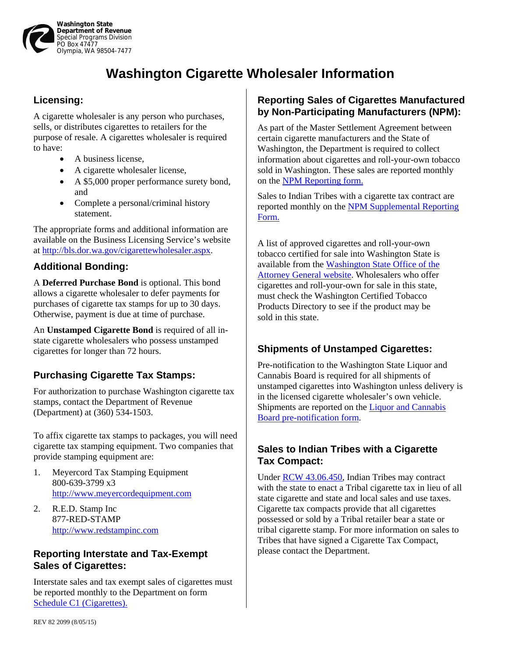

# **Washington Cigarette Wholesaler Information**

## **Licensing:**

A cigarette wholesaler is any person who purchases, sells, or distributes cigarettes to retailers for the purpose of resale. A cigarettes wholesaler is required to have:

- A business license,
- A cigarette wholesaler license.
- A \$5,000 proper performance surety bond, and
- Complete a personal/criminal history statement.

The appropriate forms and additional information are available on the Business Licensing Service's website at [http://bls.dor.wa.gov/cigarettewholesaler.aspx.](http://bls.dor.wa.gov/cigarettewholesaler.aspx) 

#### **Additional Bonding:**

A **Deferred Purchase Bond** is optional. This bond allows a cigarette wholesaler to defer payments for purchases of cigarette tax stamps for up to 30 days. Otherwise, payment is due at time of purchase.

An **Unstamped Cigarette Bond** is required of all instate cigarette wholesalers who possess unstamped cigarettes for longer than 72 hours.

# **Purchasing Cigarette Tax Stamps:**

For authorization to purchase Washington cigarette tax stamps, contact the Department of Revenue (Department) at (360) 534-1503.

To affix cigarette tax stamps to packages, you will need cigarette tax stamping equipment. Two companies that provide stamping equipment are:

- 1. Meyercord Tax Stamping Equipment 800-639-3799 x3 [http://www.meyercordequipment.com](http://www.unitedsilicone.com/taxstamping/taxstampingequipment.aspx)
- 2. R.E.D. Stamp Inc 877-RED-STAMP [http://www.redstampinc.com](http://www.redstampinc.com/)

#### **Reporting Interstate and Tax-Exempt Sales of Cigarettes:**

Interstate sales and tax exempt sales of cigarettes must be reported monthly to the Department on form [Schedule C1 \(Cigarettes\)](https://dor.wa.gov/legacy/Docs/forms/ExcsTx/Sch/CigTx_SchC1.pdf).

## **Reporting Sales of Cigarettes Manufactured by Non-Participating Manufacturers (NPM):**

As part of the Master Settlement Agreement between certain cigarette manufacturers and the State of Washington, the Department is required to collect information about cigarettes and roll-your-own tobacco sold in Washington. These sales are reported monthly on the [NPM Reporting form.](https://dor.wa.gov/legacy/Docs/forms/CigTx/NonParticipatingManfctrRprtInstr_E.pdf) 

Sales to Indian Tribes with a cigarette tax contract are [reported monthly on the NPM Supplemental Reporting](https://dor.wa.gov/legacy/Docs/forms/Misc/NonParticipatingManufctrSuppl_E.pdf)  Form.

A list of approved cigarettes and roll-your-own tobacco certified for sale into Washington State is [available from the Washington State Office of the](http://www.atg.wa.gov/Tobacco/SuppliersandManufacturers.aspx)  Attorney General website. Wholesalers who offer cigarettes and roll-your-own for sale in this state, must check the Washington Certified Tobacco Products Directory to see if the product may be sold in this state.

# **Shipments of Unstamped Cigarettes:**

Pre-notification to the Washington State Liquor and Cannabis Board is required for all shipments of unstamped cigarettes into Washington unless delivery is in the licensed cigarette wholesaler's own vehicle. [Shipments are reported on the Liquor and Cannabis](http://liq.wa.gov/publications/tobacco/LIQ662.doc)  Board pre-notification form.

#### **Sales to Indian Tribes with a Cigarette Tax Compact:**

Unde[r RCW 43.06.450, I](http://apps.leg.wa.gov/RCW/default.aspx?cite=43.06.450)ndian Tribes may contract with the state to enact a Tribal cigarette tax in lieu of all state cigarette and state and local sales and use taxes. Cigarette tax compacts provide that all cigarettes possessed or sold by a Tribal retailer bear a state or tribal cigarette stamp. For more information on sales to Tribes that have signed a Cigarette Tax Compact, please contact the Department.